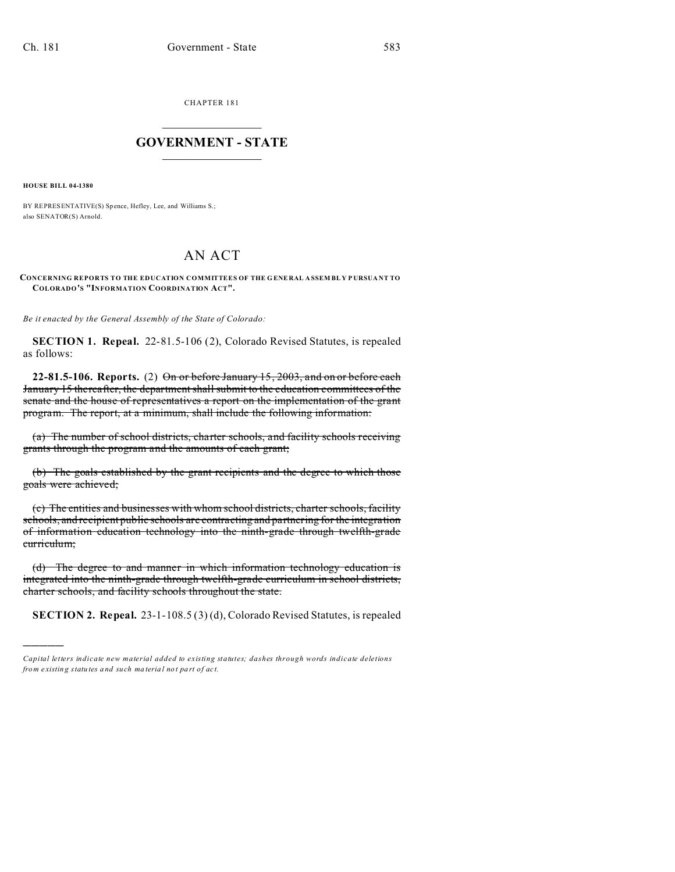CHAPTER 181  $\overline{\phantom{a}}$  , where  $\overline{\phantom{a}}$ 

## **GOVERNMENT - STATE**  $\_$   $\_$

**HOUSE BILL 04-1380**

)))))

BY REPRESENTATIVE(S) Spence, Hefley, Lee, and Williams S.; also SENATOR(S) Arnold.

## AN ACT

**CONCERNING REPORTS TO THE EDUCATION COMMITTEES OF THE G ENERAL A SSEM BL Y P URSUA NT TO COLORADO'S "INFORMATION COORDINATION ACT".**

*Be it enacted by the General Assembly of the State of Colorado:*

**SECTION 1. Repeal.** 22-81.5-106 (2), Colorado Revised Statutes, is repealed as follows:

**22-81.5-106. Reports.** (2) On or before January 15, 2003, and on or before each January 15 thereafter, the department shall submit to the education committees of the senate and the house of representatives a report on the implementation of the grant program. The report, at a minimum, shall include the following information:

(a) The number of school districts, charter schools, and facility schools receiving grants through the program and the amounts of each grant;

(b) The goals established by the grant recipients and the degree to which those goals were achieved;

(c) The entities and businesses with whom school districts, charter schools, facility schools, and recipient public schools are contracting and partnering for the integration of information education technology into the ninth-grade through twelfth-grade curriculum;

(d) The degree to and manner in which information technology education is integrated into the ninth-grade through twelfth-grade curriculum in school districts, charter schools, and facility schools throughout the state.

**SECTION 2. Repeal.** 23-1-108.5 (3) (d), Colorado Revised Statutes, is repealed

*Capital letters indicate new material added to existing statutes; dashes through words indicate deletions from e xistin g statu tes a nd such ma teria l no t pa rt of ac t.*